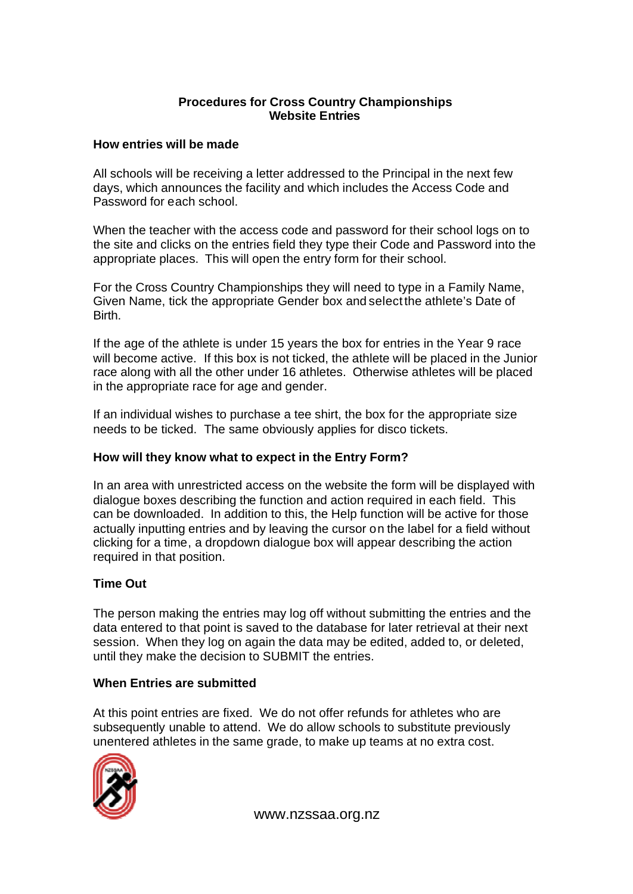## **Procedures for Cross Country Championships Website Entries**

# **How entries will be made**

All schools will be receiving a letter addressed to the Principal in the next few days, which announces the facility and which includes the Access Code and Password for each school.

When the teacher with the access code and password for their school logs on to the site and clicks on the entries field they type their Code and Password into the appropriate places. This will open the entry form for their school.

For the Cross Country Championships they will need to type in a Family Name, Given Name, tick the appropriate Gender box and select the athlete's Date of Birth.

If the age of the athlete is under 15 years the box for entries in the Year 9 race will become active. If this box is not ticked, the athlete will be placed in the Junior race along with all the other under 16 athletes. Otherwise athletes will be placed in the appropriate race for age and gender.

If an individual wishes to purchase a tee shirt, the box for the appropriate size needs to be ticked. The same obviously applies for disco tickets.

## **How will they know what to expect in the Entry Form?**

In an area with unrestricted access on the website the form will be displayed with dialogue boxes describing the function and action required in each field. This can be downloaded. In addition to this, the Help function will be active for those actually inputting entries and by leaving the cursor on the label for a field without clicking for a time, a dropdown dialogue box will appear describing the action required in that position.

## **Time Out**

The person making the entries may log off without submitting the entries and the data entered to that point is saved to the database for later retrieval at their next session. When they log on again the data may be edited, added to, or deleted, until they make the decision to SUBMIT the entries.

## **When Entries are submitted**

At this point entries are fixed. We do not offer refunds for athletes who are subsequently unable to attend. We do allow schools to substitute previously unentered athletes in the same grade, to make up teams at no extra cost.



www.nzssaa.org.nz